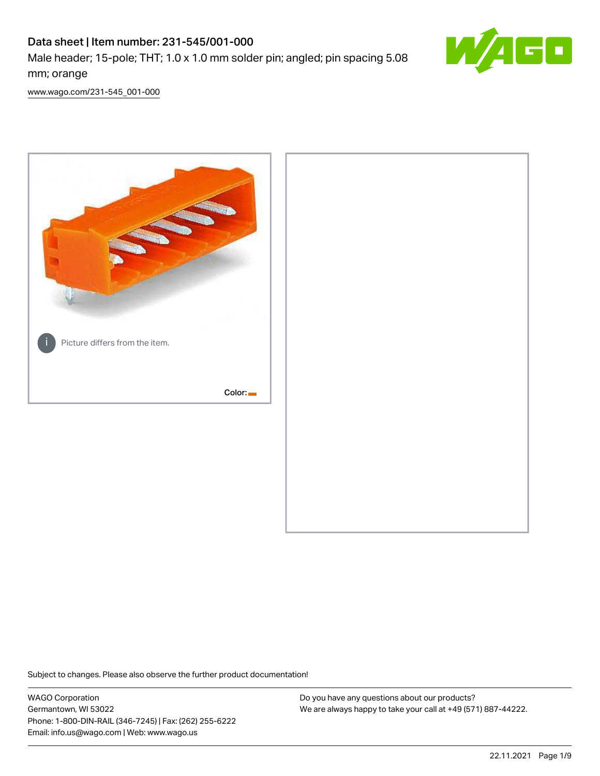# Data sheet | Item number: 231-545/001-000

Male header; 15-pole; THT; 1.0 x 1.0 mm solder pin; angled; pin spacing 5.08 mm; orange



[www.wago.com/231-545\\_001-000](http://www.wago.com/231-545_001-000)



Subject to changes. Please also observe the further product documentation!

WAGO Corporation Germantown, WI 53022 Phone: 1-800-DIN-RAIL (346-7245) | Fax: (262) 255-6222 Email: info.us@wago.com | Web: www.wago.us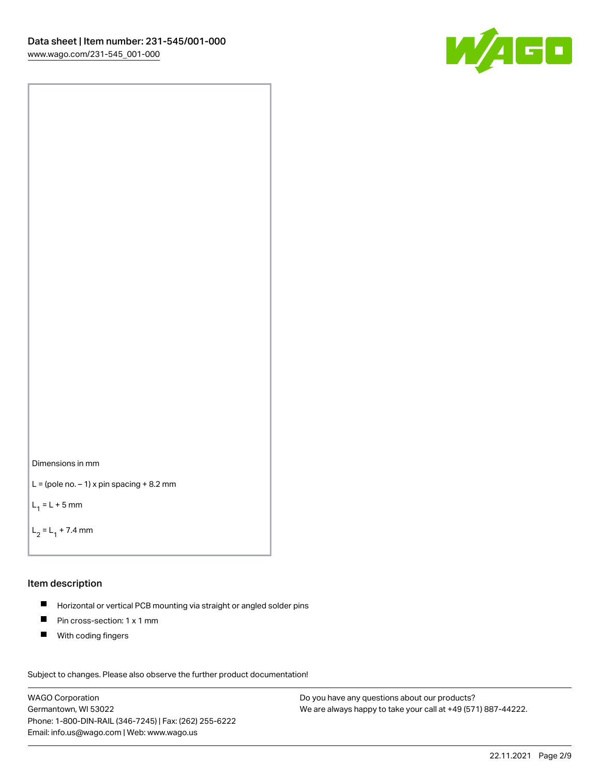



```
L = (pole no. -1) x pin spacing +8.2 mm
```
 $L_1 = L + 5$  mm

```
L_2 = L_1 + 7.4 mm
```
### Item description

- Horizontal or vertical PCB mounting via straight or angled solder pins  $\blacksquare$
- $\blacksquare$ Pin cross-section: 1 x 1 mm
- $\blacksquare$ With coding fingers

Subject to changes. Please also observe the further product documentation! Data

WAGO Corporation Germantown, WI 53022 Phone: 1-800-DIN-RAIL (346-7245) | Fax: (262) 255-6222 Email: info.us@wago.com | Web: www.wago.us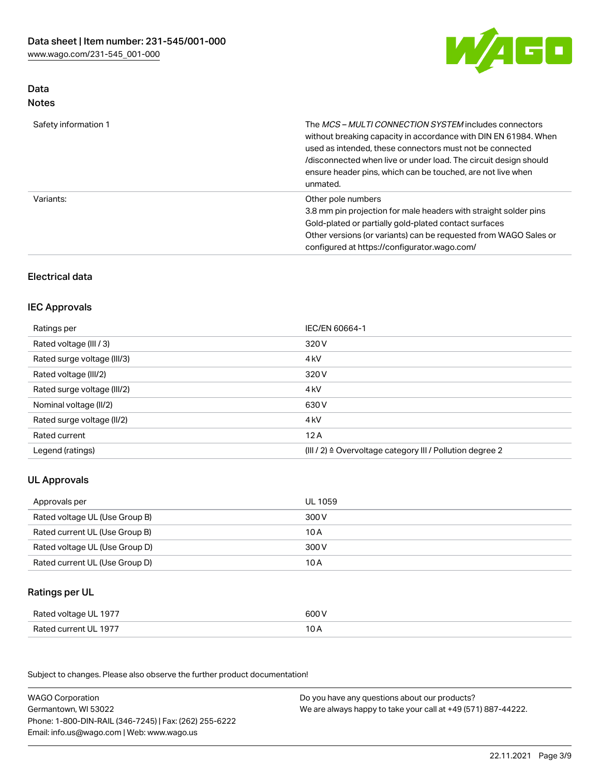

## Data Notes

| Safety information 1 | The <i>MCS – MULTI CONNECTION SYSTEM</i> includes connectors<br>without breaking capacity in accordance with DIN EN 61984. When<br>used as intended, these connectors must not be connected<br>/disconnected when live or under load. The circuit design should<br>ensure header pins, which can be touched, are not live when<br>unmated. |
|----------------------|--------------------------------------------------------------------------------------------------------------------------------------------------------------------------------------------------------------------------------------------------------------------------------------------------------------------------------------------|
| Variants:            | Other pole numbers<br>3.8 mm pin projection for male headers with straight solder pins<br>Gold-plated or partially gold-plated contact surfaces<br>Other versions (or variants) can be requested from WAGO Sales or<br>configured at https://configurator.wago.com/                                                                        |

# Electrical data

# IEC Approvals

| Ratings per                 | IEC/EN 60664-1                                                        |
|-----------------------------|-----------------------------------------------------------------------|
| Rated voltage (III / 3)     | 320 V                                                                 |
| Rated surge voltage (III/3) | 4 <sub>k</sub> V                                                      |
| Rated voltage (III/2)       | 320 V                                                                 |
| Rated surge voltage (III/2) | 4 <sub>k</sub> V                                                      |
| Nominal voltage (II/2)      | 630 V                                                                 |
| Rated surge voltage (II/2)  | 4 <sub>k</sub> V                                                      |
| Rated current               | 12A                                                                   |
| Legend (ratings)            | $(III / 2)$ $\triangle$ Overvoltage category III / Pollution degree 2 |

# UL Approvals

| Approvals per                  | UL 1059 |
|--------------------------------|---------|
| Rated voltage UL (Use Group B) | 300 V   |
| Rated current UL (Use Group B) | 10 A    |
| Rated voltage UL (Use Group D) | 300 V   |
| Rated current UL (Use Group D) | 10 A    |

## Ratings per UL

| Rated voltage UL 1977 | 600 V |
|-----------------------|-------|
| Rated current UL 1977 |       |

| <b>WAGO Corporation</b>                                | Do you have any questions about our products?                 |
|--------------------------------------------------------|---------------------------------------------------------------|
| Germantown, WI 53022                                   | We are always happy to take your call at +49 (571) 887-44222. |
| Phone: 1-800-DIN-RAIL (346-7245)   Fax: (262) 255-6222 |                                                               |
| Email: info.us@wago.com   Web: www.wago.us             |                                                               |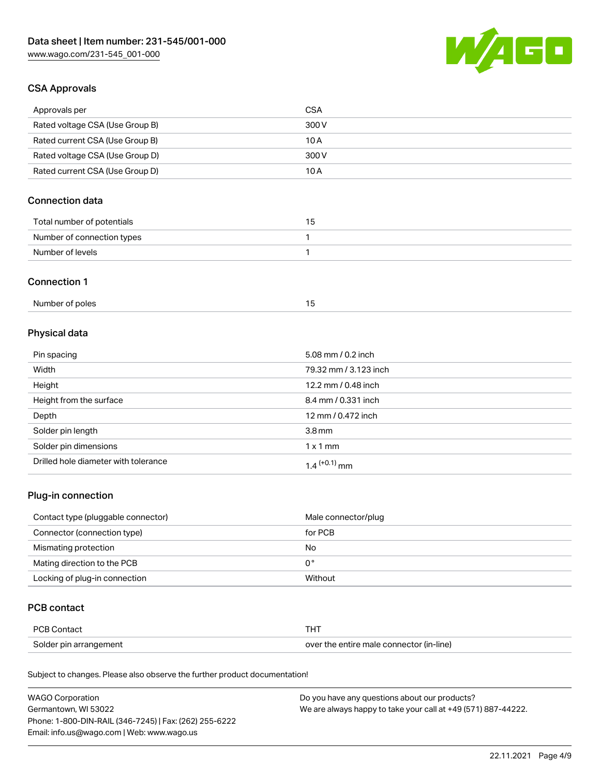

# CSA Approvals

| Approvals per                   | CSA   |
|---------------------------------|-------|
| Rated voltage CSA (Use Group B) | 300 V |
| Rated current CSA (Use Group B) | 10 A  |
| Rated voltage CSA (Use Group D) | 300 V |
| Rated current CSA (Use Group D) | 10 A  |

# Connection data

| Total number of potentials | כ ו |
|----------------------------|-----|
| Number of connection types |     |
| Number of levels           |     |

#### Connection 1

# Physical data

| Pin spacing                          | 5.08 mm / 0.2 inch    |
|--------------------------------------|-----------------------|
| Width                                | 79.32 mm / 3.123 inch |
| Height                               | 12.2 mm / 0.48 inch   |
| Height from the surface              | 8.4 mm / 0.331 inch   |
| Depth                                | 12 mm / 0.472 inch    |
| Solder pin length                    | 3.8 <sub>mm</sub>     |
| Solder pin dimensions                | $1 \times 1$ mm       |
| Drilled hole diameter with tolerance | $1.4$ $(+0.1)$ mm     |

# Plug-in connection

| Contact type (pluggable connector) | Male connector/plug |
|------------------------------------|---------------------|
| Connector (connection type)        | for PCB             |
| Mismating protection               | No                  |
| Mating direction to the PCB        | 0°                  |
| Locking of plug-in connection      | Without             |

## PCB contact

| PCB Contact            | тнт                                      |
|------------------------|------------------------------------------|
| Solder pin arrangement | over the entire male connector (in-line) |

| <b>WAGO Corporation</b>                                | Do you have any questions about our products?                 |
|--------------------------------------------------------|---------------------------------------------------------------|
| Germantown, WI 53022                                   | We are always happy to take your call at +49 (571) 887-44222. |
| Phone: 1-800-DIN-RAIL (346-7245)   Fax: (262) 255-6222 |                                                               |
| Email: info.us@wago.com   Web: www.wago.us             |                                                               |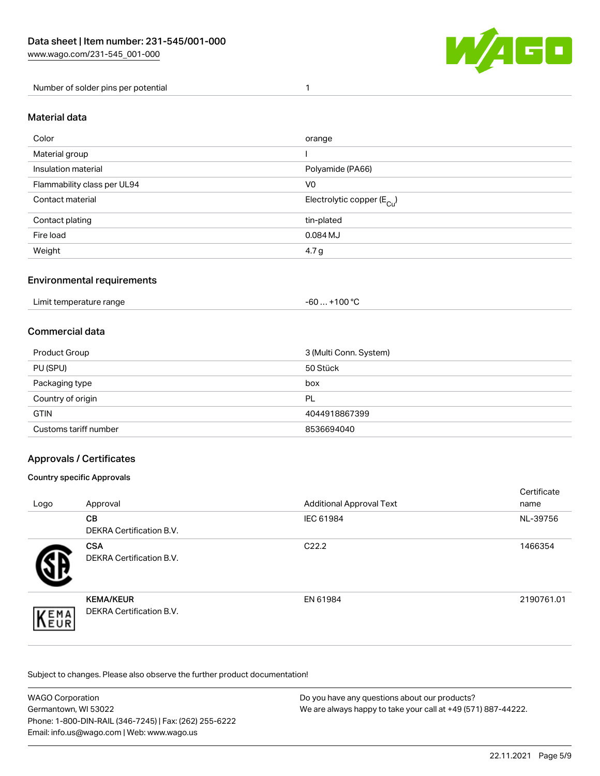

Number of solder pins per potential 1

#### Material data

| Color                       | orange                                 |
|-----------------------------|----------------------------------------|
| Material group              |                                        |
| Insulation material         | Polyamide (PA66)                       |
| Flammability class per UL94 | V <sub>0</sub>                         |
| Contact material            | Electrolytic copper (E <sub>Cu</sub> ) |
| Contact plating             | tin-plated                             |
| Fire load                   | 0.084 MJ                               |
| Weight                      | 4.7 <sub>g</sub>                       |

## Environmental requirements

Limit temperature range  $-60... +100$  °C

## Commercial data

| Product Group         | 3 (Multi Conn. System) |
|-----------------------|------------------------|
| PU (SPU)              | 50 Stück               |
| Packaging type        | box                    |
| Country of origin     | PL                     |
| <b>GTIN</b>           | 4044918867399          |
| Customs tariff number | 8536694040             |

## Approvals / Certificates

#### Country specific Approvals

| Logo               | Approval                                            | <b>Additional Approval Text</b> | Certificate<br>name |
|--------------------|-----------------------------------------------------|---------------------------------|---------------------|
|                    | <b>CB</b><br><b>DEKRA Certification B.V.</b>        | IEC 61984                       | NL-39756            |
|                    | <b>CSA</b><br>DEKRA Certification B.V.              | C <sub>22.2</sub>               | 1466354             |
| EMA<br><b>NEUR</b> | <b>KEMA/KEUR</b><br><b>DEKRA Certification B.V.</b> | EN 61984                        | 2190761.01          |

| WAGO Corporation                                       | Do you have any questions about our products?                 |
|--------------------------------------------------------|---------------------------------------------------------------|
| Germantown, WI 53022                                   | We are always happy to take your call at +49 (571) 887-44222. |
| Phone: 1-800-DIN-RAIL (346-7245)   Fax: (262) 255-6222 |                                                               |
| Email: info.us@wago.com   Web: www.wago.us             |                                                               |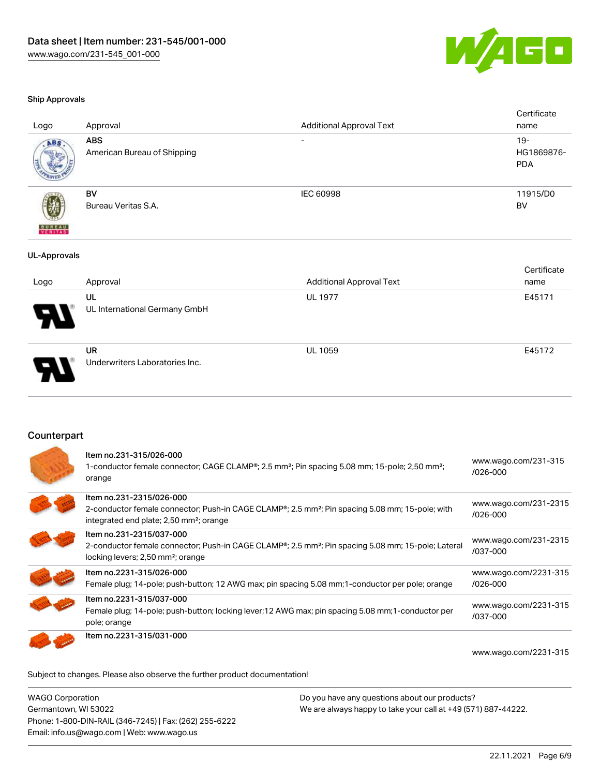

#### Ship Approvals

| Logo                     | Approval                                  | <b>Additional Approval Text</b> | Certificate<br>name                |
|--------------------------|-------------------------------------------|---------------------------------|------------------------------------|
| ABS                      | <b>ABS</b><br>American Bureau of Shipping |                                 | $19 -$<br>HG1869876-<br><b>PDA</b> |
| <b>BUREAU</b><br>VERITAS | <b>BV</b><br>Bureau Veritas S.A.          | IEC 60998                       | 11915/D0<br><b>BV</b>              |
| <b>UL-Approvals</b>      |                                           |                                 |                                    |
|                          |                                           |                                 | Certificate                        |
| Logo                     | Approval                                  | <b>Additional Approval Text</b> | name                               |
|                          | UL                                        | <b>UL 1977</b>                  | E45171                             |
|                          | UL International Germany GmbH             |                                 |                                    |
|                          | <b>UR</b>                                 | <b>UL 1059</b>                  | E45172                             |
|                          | Underwriters Laboratories Inc.            |                                 |                                    |

Counterpart

| Item no.231-315/026-000<br>1-conductor female connector; CAGE CLAMP <sup>®</sup> ; 2.5 mm <sup>2</sup> ; Pin spacing 5.08 mm; 15-pole; 2,50 mm <sup>2</sup> ;<br>orange                                     | www.wago.com/231-315<br>/026-000  |
|-------------------------------------------------------------------------------------------------------------------------------------------------------------------------------------------------------------|-----------------------------------|
| Item no.231-2315/026-000<br>2-conductor female connector; Push-in CAGE CLAMP <sup>®</sup> ; 2.5 mm <sup>2</sup> ; Pin spacing 5.08 mm; 15-pole; with<br>integrated end plate; 2,50 mm <sup>2</sup> ; orange | www.wago.com/231-2315<br>/026-000 |
| Item no.231-2315/037-000<br>2-conductor female connector; Push-in CAGE CLAMP <sup>®</sup> ; 2.5 mm <sup>2</sup> ; Pin spacing 5.08 mm; 15-pole; Lateral<br>locking levers; 2,50 mm <sup>2</sup> ; orange    | www.wago.com/231-2315<br>/037-000 |
| Item no.2231-315/026-000<br>Female plug; 14-pole; push-button; 12 AWG max; pin spacing 5.08 mm; 1-conductor per pole; orange                                                                                | www.wago.com/2231-315<br>/026-000 |
| Item no.2231-315/037-000<br>Female plug; 14-pole; push-button; locking lever; 12 AWG max; pin spacing 5.08 mm; 1-conductor per<br>pole; orange                                                              | www.wago.com/2231-315<br>/037-000 |
| Item no.2231-315/031-000                                                                                                                                                                                    |                                   |
|                                                                                                                                                                                                             | www.wago.com/2231-315             |

Subject to changes. Please also observe the further product documentation!

WAGO Corporation Germantown, WI 53022 Phone: 1-800-DIN-RAIL (346-7245) | Fax: (262) 255-6222 Email: info.us@wago.com | Web: www.wago.us Do you have any questions about our products? We are always happy to take your call at +49 (571) 887-44222.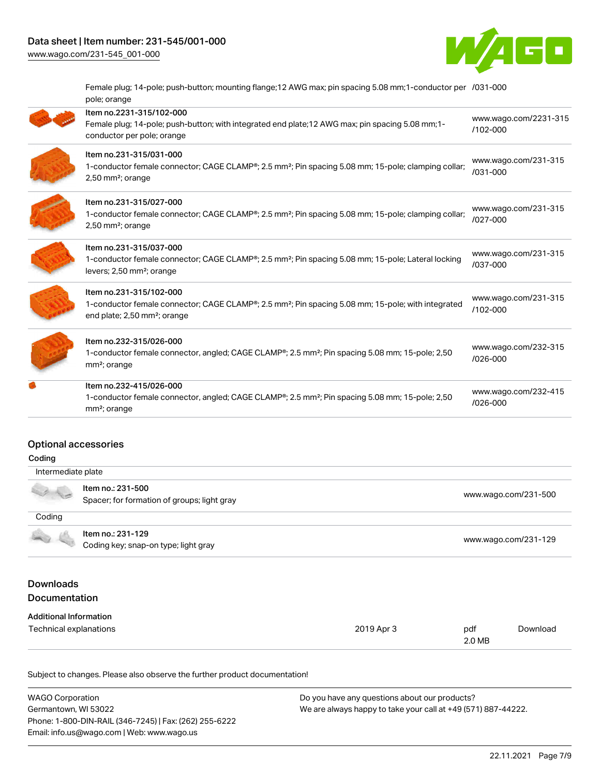# Data sheet | Item number: 231-545/001-000

[www.wago.com/231-545\\_001-000](http://www.wago.com/231-545_001-000)

ſ

Í

d



Female plug; 14-pole; push-button; mounting flange;12 AWG max; pin spacing 5.08 mm;1-conductor per [/031-000](https://www.wago.com/2231-315/031-000) pole; orange

| Item no.2231-315/102-000<br>Female plug; 14-pole; push-button; with integrated end plate; 12 AWG max; pin spacing 5.08 mm; 1-<br>conductor per pole; orange                                        | www.wago.com/2231-315<br>/102-000    |
|----------------------------------------------------------------------------------------------------------------------------------------------------------------------------------------------------|--------------------------------------|
| Item no.231-315/031-000<br>1-conductor female connector; CAGE CLAMP®; 2.5 mm <sup>2</sup> ; Pin spacing 5.08 mm; 15-pole; clamping collar;<br>2,50 mm <sup>2</sup> ; orange                        | www.wago.com/231-315<br>/031-000     |
| Item no.231-315/027-000<br>1-conductor female connector; CAGE CLAMP®; 2.5 mm <sup>2</sup> ; Pin spacing 5.08 mm; 15-pole; clamping collar;<br>$2,50$ mm <sup>2</sup> ; orange                      | www.wago.com/231-315<br>/027-000     |
| Item no.231-315/037-000<br>1-conductor female connector; CAGE CLAMP®; 2.5 mm <sup>2</sup> ; Pin spacing 5.08 mm; 15-pole; Lateral locking<br>levers; 2,50 mm <sup>2</sup> ; orange                 | www.wago.com/231-315<br>/037-000     |
| Item no.231-315/102-000<br>1-conductor female connector; CAGE CLAMP <sup>®</sup> ; 2.5 mm <sup>2</sup> ; Pin spacing 5.08 mm; 15-pole; with integrated<br>end plate; 2,50 mm <sup>2</sup> ; orange | www.wago.com/231-315<br>/102-000     |
| Item no.232-315/026-000<br>1-conductor female connector, angled; CAGE CLAMP <sup>®</sup> ; 2.5 mm <sup>2</sup> ; Pin spacing 5.08 mm; 15-pole; 2,50<br>mm <sup>2</sup> ; orange                    | www.wago.com/232-315<br>$/026 - 000$ |
| Item no.232-415/026-000<br>1-conductor female connector, angled; CAGE CLAMP®; 2.5 mm <sup>2</sup> ; Pin spacing 5.08 mm; 15-pole; 2,50<br>mm <sup>2</sup> ; orange                                 | www.wago.com/232-415<br>/026-000     |
|                                                                                                                                                                                                    |                                      |

### Optional accessories

| Coding                                   |                                                                  |            |               |                      |  |
|------------------------------------------|------------------------------------------------------------------|------------|---------------|----------------------|--|
| Intermediate plate                       |                                                                  |            |               |                      |  |
|                                          | Item no.: 231-500<br>Spacer; for formation of groups; light gray |            |               | www.wago.com/231-500 |  |
| Coding                                   |                                                                  |            |               |                      |  |
|                                          | Item no.: 231-129<br>Coding key; snap-on type; light gray        |            |               | www.wago.com/231-129 |  |
| <b>Downloads</b><br><b>Documentation</b> |                                                                  |            |               |                      |  |
| <b>Additional Information</b>            |                                                                  |            |               |                      |  |
| Technical explanations                   |                                                                  | 2019 Apr 3 | pdf<br>2.0 MB | Download             |  |

| <b>WAGO Corporation</b>                                | Do you have any questions about our products?                 |
|--------------------------------------------------------|---------------------------------------------------------------|
| Germantown, WI 53022                                   | We are always happy to take your call at +49 (571) 887-44222. |
| Phone: 1-800-DIN-RAIL (346-7245)   Fax: (262) 255-6222 |                                                               |
| Email: info.us@wago.com   Web: www.wago.us             |                                                               |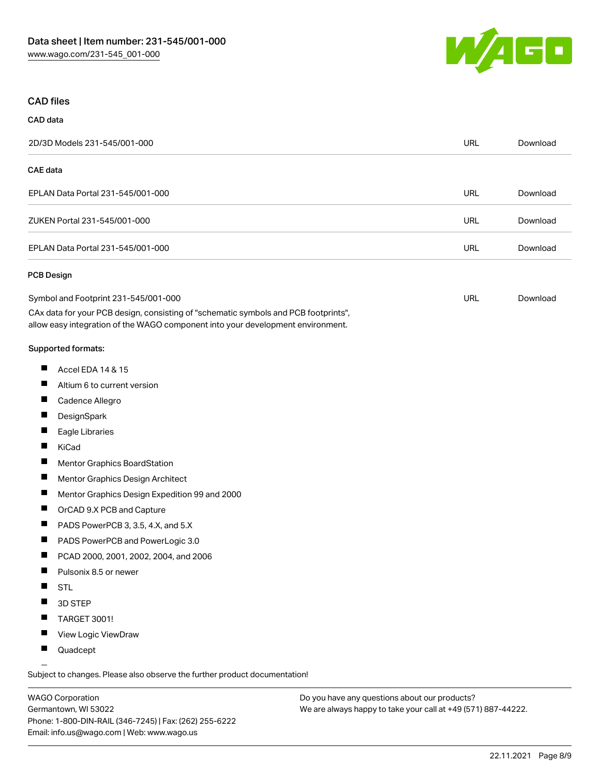

#### CAD files

| CAD data        |                                                                                                                                                                                                                |            |          |
|-----------------|----------------------------------------------------------------------------------------------------------------------------------------------------------------------------------------------------------------|------------|----------|
|                 | 2D/3D Models 231-545/001-000                                                                                                                                                                                   | <b>URL</b> | Download |
| <b>CAE</b> data |                                                                                                                                                                                                                |            |          |
|                 | EPLAN Data Portal 231-545/001-000                                                                                                                                                                              | <b>URL</b> | Download |
|                 | ZUKEN Portal 231-545/001-000                                                                                                                                                                                   | <b>URL</b> | Download |
|                 | EPLAN Data Portal 231-545/001-000                                                                                                                                                                              | <b>URL</b> | Download |
| PCB Design      |                                                                                                                                                                                                                |            |          |
|                 | Symbol and Footprint 231-545/001-000<br>CAx data for your PCB design, consisting of "schematic symbols and PCB footprints",<br>allow easy integration of the WAGO component into your development environment. | URL        | Download |
|                 | Supported formats:                                                                                                                                                                                             |            |          |
| ш               | Accel EDA 14 & 15                                                                                                                                                                                              |            |          |
| ш               | Altium 6 to current version                                                                                                                                                                                    |            |          |
| Ш               | Cadence Allegro                                                                                                                                                                                                |            |          |
| ш               | DesignSpark                                                                                                                                                                                                    |            |          |
| H.              | Eagle Libraries                                                                                                                                                                                                |            |          |
| Ш               | KiCad                                                                                                                                                                                                          |            |          |
| ш               | Mentor Graphics BoardStation                                                                                                                                                                                   |            |          |
| Ш               | Mentor Graphics Design Architect                                                                                                                                                                               |            |          |
| ш               | Mentor Graphics Design Expedition 99 and 2000                                                                                                                                                                  |            |          |
| ш               | OrCAD 9.X PCB and Capture                                                                                                                                                                                      |            |          |
| ш               | PADS PowerPCB 3, 3.5, 4.X, and 5.X                                                                                                                                                                             |            |          |
| ш               | PADS PowerPCB and PowerLogic 3.0                                                                                                                                                                               |            |          |
| Ш               | PCAD 2000, 2001, 2002, 2004, and 2006                                                                                                                                                                          |            |          |
|                 | Pulsonix 8.5 or newer                                                                                                                                                                                          |            |          |
|                 | STL                                                                                                                                                                                                            |            |          |
|                 | 3D STEP                                                                                                                                                                                                        |            |          |
| ш               | TARGET 3001!                                                                                                                                                                                                   |            |          |

- П View Logic ViewDraw
- $\blacksquare$ Quadcept

.<br>Subject to changes. Please also observe the further product documentation!

WAGO Corporation Germantown, WI 53022 Phone: 1-800-DIN-RAIL (346-7245) | Fax: (262) 255-6222 Email: info.us@wago.com | Web: www.wago.us